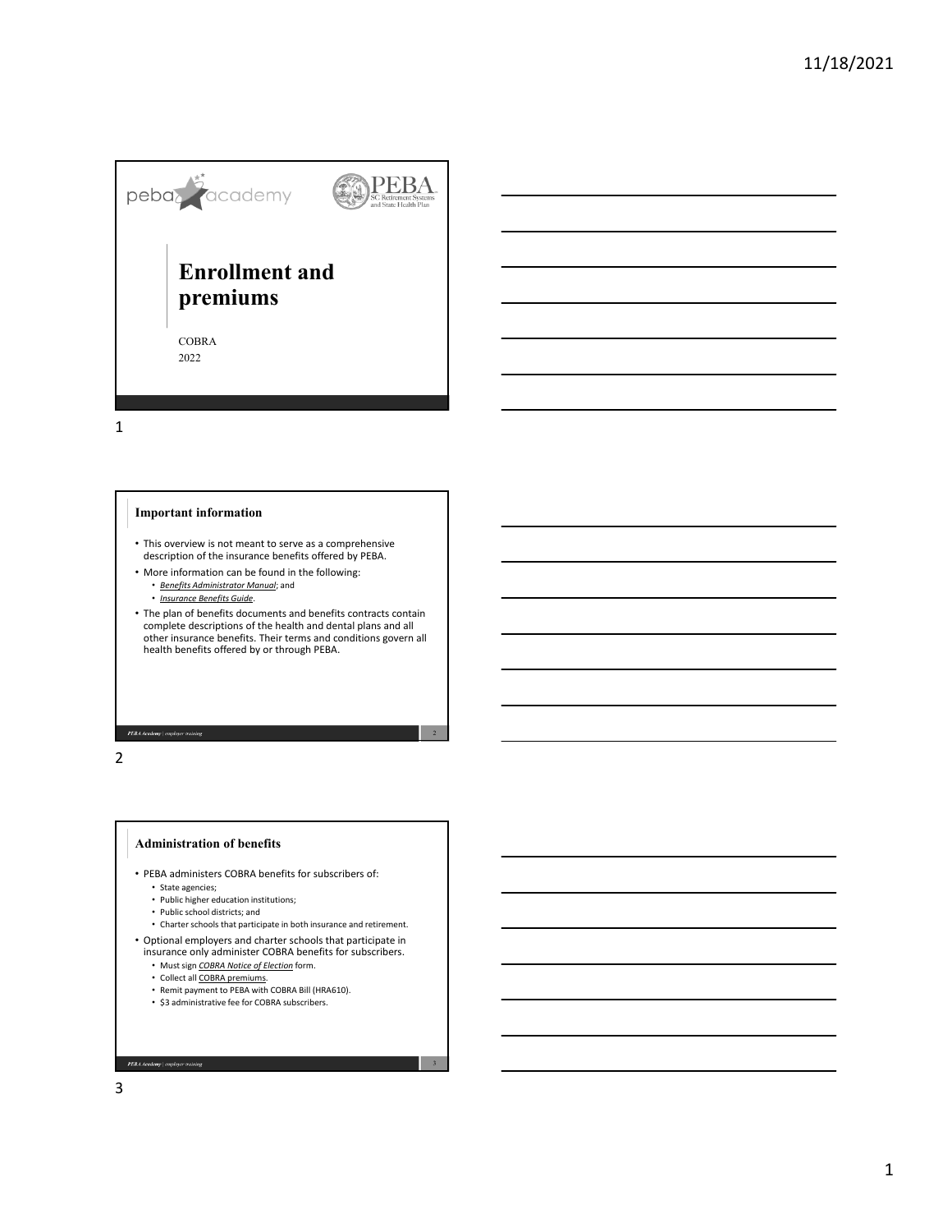

1

# **Important information**

- This overview is not meant to serve as a comprehensive description of the insurance benefits offered by PEBA.
- More information can be found in the following:
	- *Benefits Administrator Manual*; and
	- *Insurance Benefits Guide*.
- The plan of benefits documents and benefits contracts contain complete descriptions of the health and dental plans and all other insurance benefits. Their terms and conditions govern all health benefits offered by or through PEBA.

PEBA Academy | employer training

2

### **Administration of benefits**

- PEBA administers COBRA benefits for subscribers of:
	- State agencies;
	- Public higher education institutions;
	- Public school districts; and
	- Charter schools that participate in both insurance and retirement.
- Optional employers and charter schools that participate in insurance only administer COBRA benefits for subscribers.
	- Must sign *COBRA Notice of Election* form.
	- Collect all COBRA premiums.
	- Remit payment to PEBA with COBRA Bill (HRA610).
	- \$3 administrative fee for COBRA subscribers.

**PEBA Academy** | employer training

3